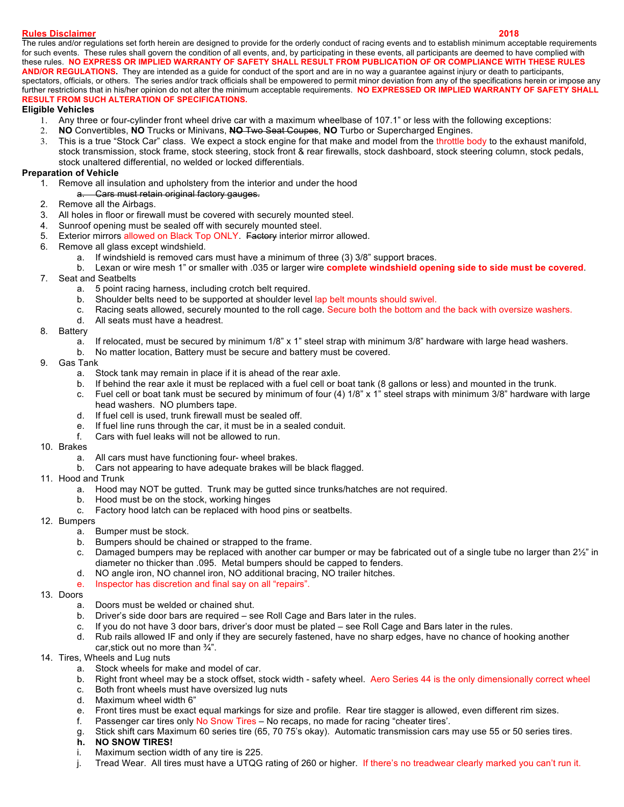## **Rules Disclaimer 2018**

The rules and/or regulations set forth herein are designed to provide for the orderly conduct of racing events and to establish minimum acceptable requirements for such events. These rules shall govern the condition of all events, and, by participating in these events, all participants are deemed to have complied with these rules. **NO EXPRESS OR IMPLIED WARRANTY OF SAFETY SHALL RESULT FROM PUBLICATION OF OR COMPLIANCE WITH THESE RULES AND/OR REGULATIONS.** They are intended as a guide for conduct of the sport and are in no way a guarantee against injury or death to participants, spectators, officials, or others. The series and/or track officials shall be empowered to permit minor deviation from any of the specifications herein or impose any further restrictions that in his/her opinion do not alter the minimum acceptable requirements. **NO EXPRESSED OR IMPLIED WARRANTY OF SAFETY SHALL RESULT FROM SUCH ALTERATION OF SPECIFICATIONS.**

## **Eligible Vehicles**

- 1. Any three or four-cylinder front wheel drive car with a maximum wheelbase of 107.1" or less with the following exceptions:
- 2. **NO** Convertibles, **NO** Trucks or Minivans, **NO** Two Seat Coupes, **NO** Turbo or Supercharged Engines.
- 3. This is a true "Stock Car" class. We expect a stock engine for that make and model from the throttle body to the exhaust manifold, stock transmission, stock frame, stock steering, stock front & rear firewalls, stock dashboard, stock steering column, stock pedals, stock unaltered differential, no welded or locked differentials.

# **Preparation of Vehicle**

- 1. Remove all insulation and upholstery from the interior and under the hood
	- a. Cars must retain original factory gauges.
- 2. Remove all the Airbags.
- 3. All holes in floor or firewall must be covered with securely mounted steel.
- 4. Sunroof opening must be sealed off with securely mounted steel.
- 5. Exterior mirrors allowed on Black Top ONLY. Factory interior mirror allowed.
- 6. Remove all glass except windshield.
	- a. If windshield is removed cars must have a minimum of three (3) 3/8" support braces.
	- b. Lexan or wire mesh 1" or smaller with .035 or larger wire **complete windshield opening side to side must be covered**.
- 7. Seat and Seatbelts
	- a. 5 point racing harness, including crotch belt required.
	- b. Shoulder belts need to be supported at shoulder level lap belt mounts should swivel.
	- c. Racing seats allowed, securely mounted to the roll cage. Secure both the bottom and the back with oversize washers.
	- d. All seats must have a headrest.
- 8. Battery
	- a. If relocated, must be secured by minimum 1/8" x 1" steel strap with minimum 3/8" hardware with large head washers.
	- b. No matter location, Battery must be secure and battery must be covered.
- 9. Gas Tank
	- a. Stock tank may remain in place if it is ahead of the rear axle.
	- b. If behind the rear axle it must be replaced with a fuel cell or boat tank (8 gallons or less) and mounted in the trunk.
	- c. Fuel cell or boat tank must be secured by minimum of four (4) 1/8" x 1" steel straps with minimum 3/8" hardware with large head washers. NO plumbers tape.
	- d. If fuel cell is used, trunk firewall must be sealed off.
	- e. If fuel line runs through the car, it must be in a sealed conduit.
	- f. Cars with fuel leaks will not be allowed to run.
- 10. Brakes
	- a. All cars must have functioning four- wheel brakes.
	- b. Cars not appearing to have adequate brakes will be black flagged.
- 11. Hood and Trunk
	- a. Hood may NOT be gutted. Trunk may be gutted since trunks/hatches are not required.
	- b. Hood must be on the stock, working hinges
	- c. Factory hood latch can be replaced with hood pins or seatbelts.
- 12. Bumpers
	- a. Bumper must be stock.
	- b. Bumpers should be chained or strapped to the frame.
	- c. Damaged bumpers may be replaced with another car bumper or may be fabricated out of a single tube no larger than 2½" in diameter no thicker than .095. Metal bumpers should be capped to fenders.
	- d. NO angle iron, NO channel iron, NO additional bracing, NO trailer hitches.
	- e. Inspector has discretion and final say on all "repairs".
- 13. Doors
	- a. Doors must be welded or chained shut.
	- b. Driver's side door bars are required see Roll Cage and Bars later in the rules.
	- c. If you do not have 3 door bars, driver's door must be plated see Roll Cage and Bars later in the rules.
	- d. Rub rails allowed IF and only if they are securely fastened, have no sharp edges, have no chance of hooking another car,stick out no more than ¾".
- 14. Tires, Wheels and Lug nuts
	- a. Stock wheels for make and model of car.
	- b. Right front wheel may be a stock offset, stock width safety wheel. Aero Series 44 is the only dimensionally correct wheel
	- c. Both front wheels must have oversized lug nuts
	- d. Maximum wheel width 6"
	- e. Front tires must be exact equal markings for size and profile. Rear tire stagger is allowed, even different rim sizes.
	- f. Passenger car tires only No Snow Tires No recaps, no made for racing "cheater tires'.
	- g. Stick shift cars Maximum 60 series tire (65, 70 75's okay). Automatic transmission cars may use 55 or 50 series tires.
	- **h. NO SNOW TIRES!**
	- i. Maximum section width of any tire is 225.
	- j. Tread Wear. All tires must have a UTQG rating of 260 or higher. If there's no treadwear clearly marked you can't run it.